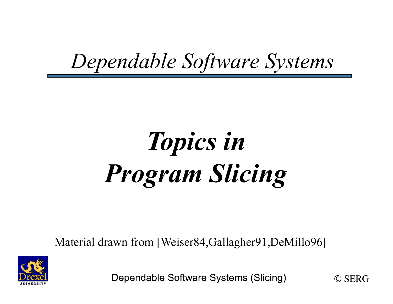#### *Dependable Software Systems*

# *Topics in Program Slicing*

Material drawn from [Weiser84,Gallagher91,DeMillo96]



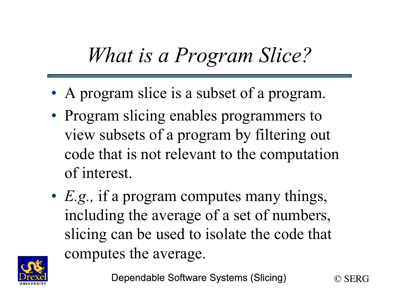## *What is a Program Slice?*

- A program slice is a subset of a program.
- Program slicing enables programmers to view subsets of a program by filtering out code that is not relevant to the computation of interest.
- *E.g.*, if a program computes many things, including the average of a set of numbers, slicing can be used to isolate the code that computes the average.



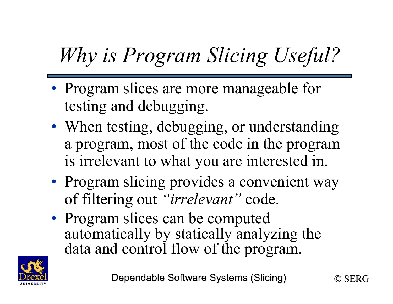## *Why is Program Slicing Useful?*

- Program slices are more manageable for testing and debugging.
- When testing, debugging, or understanding a program, most of the code in the program is irrelevant to what you are interested in.
- Program slicing provides a convenient way of filtering out *"irrelevant"* code.
- Program slices can be computed automatically by statically analyzing the data and control flow of the program.



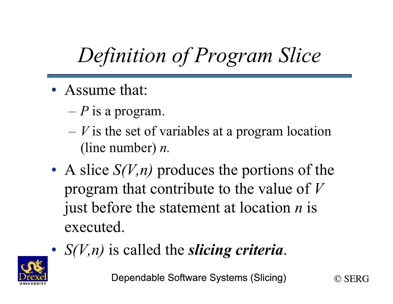## *Definition of Program Slice*

- Assume that:
	- *P* is a program.
	- *V* is the set of variables at a program location (line number) *n.*
- A slice *S(V,n)* produces the portions of the program that contribute to the value of *V* just before the statement at location *n* is executed.
- *S(V,n)* is called the *slicing criteria*.

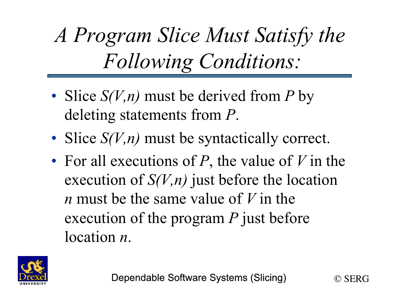*A Program Slice Must Satisfy the Following Conditions:* 

- Slice *S(V,n)* must be derived from *P* by deleting statements from *P*.
- Slice *S(V,n)* must be syntactically correct.
- For all executions of *P*, the value of *V* in the execution of *S(V,n)* just before the location *n* must be the same value of *V* in the execution of the program *P* just before location *n*.



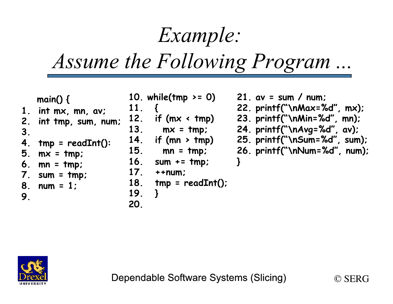### *Example:*

#### *Assume the Following Program ...*

| З.<br>7.<br>9. | main() $\{$<br>int mx, mn, av;<br>2. int tmp, sum, num;<br>4. $tmp = readInt():$<br>$5. \,$ mx = $\,$ tmp;<br>$6. \text{mn} = \text{tmp};$<br>$sum = tmp$<br>8. $num = 1$ ; | 11.<br>12.<br>13.<br><b>14.</b><br><b>15.</b><br><b>16.</b><br>17 <sub>1</sub><br><b>18.</b><br>19.<br>20 | 10. while(tmp $>= 0$ )<br>if $(mx < tmp)$<br>$mx = tmp;$<br>if (mn $>$ tmp)<br>$mn = tmp$<br>$sum + = tmp$<br>$+ + num$<br>$tmp = readInt():$ | 21. $av = sum / num$ ;<br>22. $print("hMax=%d", mx);$<br>$23.$ printf("\nMin=%d", mn);<br>24. printf("\nAvg=%d", av);<br>25. printf("\nSum=%d", sum);<br>26. printf("\nNum=%d", num); |  |
|----------------|-----------------------------------------------------------------------------------------------------------------------------------------------------------------------------|-----------------------------------------------------------------------------------------------------------|-----------------------------------------------------------------------------------------------------------------------------------------------|---------------------------------------------------------------------------------------------------------------------------------------------------------------------------------------|--|
|----------------|-----------------------------------------------------------------------------------------------------------------------------------------------------------------------------|-----------------------------------------------------------------------------------------------------------|-----------------------------------------------------------------------------------------------------------------------------------------------|---------------------------------------------------------------------------------------------------------------------------------------------------------------------------------------|--|



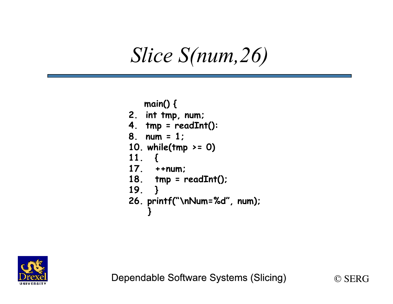#### *Slice S(num,26)*

```
 main() { 
2. int tmp, num; 
4. tmp = readInt(): 
8. num = 1; 
10. while(tmp >= 0) 
11. { 
17. ++num; 
18. tmp = readInt(); 
19. } 
26. printf("\nNum=%d", num); 
 }
```


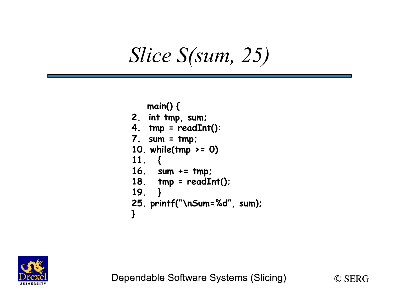#### *Slice S(sum, 25)*

```
 main() { 
2. int tmp, sum; 
4. tmp = readInt(): 
7. sum = tmp; 
10. while(tmp >= 0) 
11. { 
16. sum += tmp; 
18. tmp = readInt(); 
19. } 
25. printf("\nSum=%d", sum); 
}
```


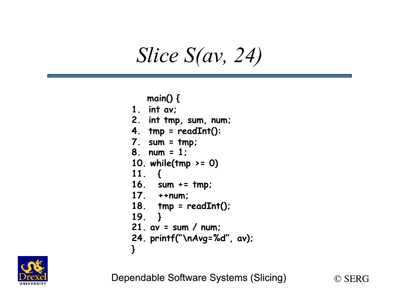#### *Slice S(av, 24)*

#### **main() { 1. int av; 2. int tmp, sum, num; 4. tmp = readInt(): 7. sum = tmp; 8. num = 1; 10. while(tmp >= 0) 11. { 16. sum += tmp; 17. ++num; 18. tmp = readInt(); 19. } 21. av = sum / num; 24. printf("\nAvg=%d", av); }**



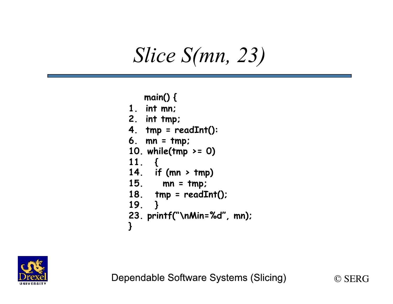#### *Slice S(mn, 23)*

```
 main() { 
1. int mn; 
2. int tmp; 
4. tmp = readInt(): 
6. mn = tmp; 
10. while(tmp >= 0) 
11. { 
14. if (mn > tmp) 
15. mn = tmp; 
18. tmp = readInt(); 
19. } 
23. printf("\nMin=%d", mn); 
}
```


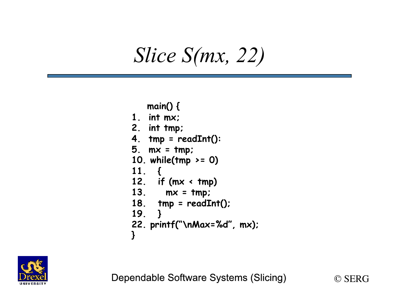#### *Slice S(mx, 22)*

 **main() { 1. int mx; 2. int tmp; 4. tmp = readInt(): 5. mx = tmp; 10. while(tmp >= 0) 11. { 12. if (mx < tmp) 13. mx = tmp; 18. tmp = readInt(); 19. } 22. printf("\nMax=%d", mx); }** 



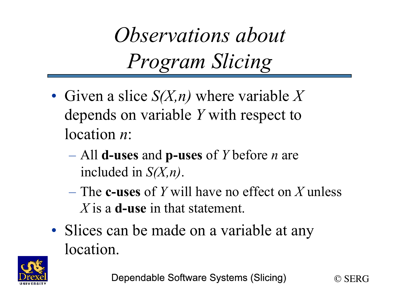*Observations about Program Slicing* 

- Given a slice *S(X,n)* where variable *X*  depends on variable *Y* with respect to location *n*:
	- All **d-uses** and **p-uses** of *Y* before *n* are included in *S(X,n)*.
	- The **c-uses** of *Y* will have no effect on *X* unless *X* is a **d-use** in that statement.
- Slices can be made on a variable at any location.



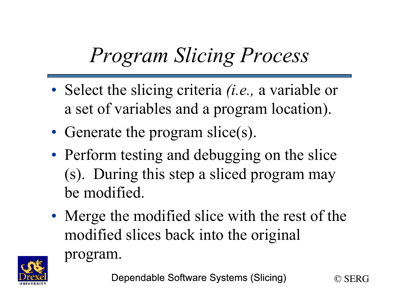## *Program Slicing Process*

- Select the slicing criteria *(i.e.,* a variable or a set of variables and a program location).
- Generate the program slice(s).
- Perform testing and debugging on the slice (s). During this step a sliced program may be modified.
- Merge the modified slice with the rest of the modified slices back into the original



program.

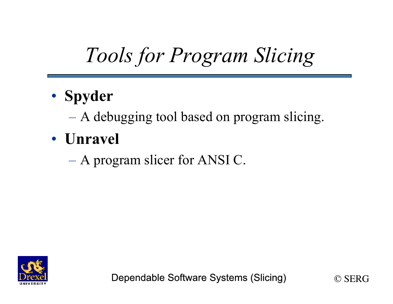## *Tools for Program Slicing*

- **Spyder**
	- A debugging tool based on program slicing.
- **Unravel**
	- A program slicer for ANSI C.